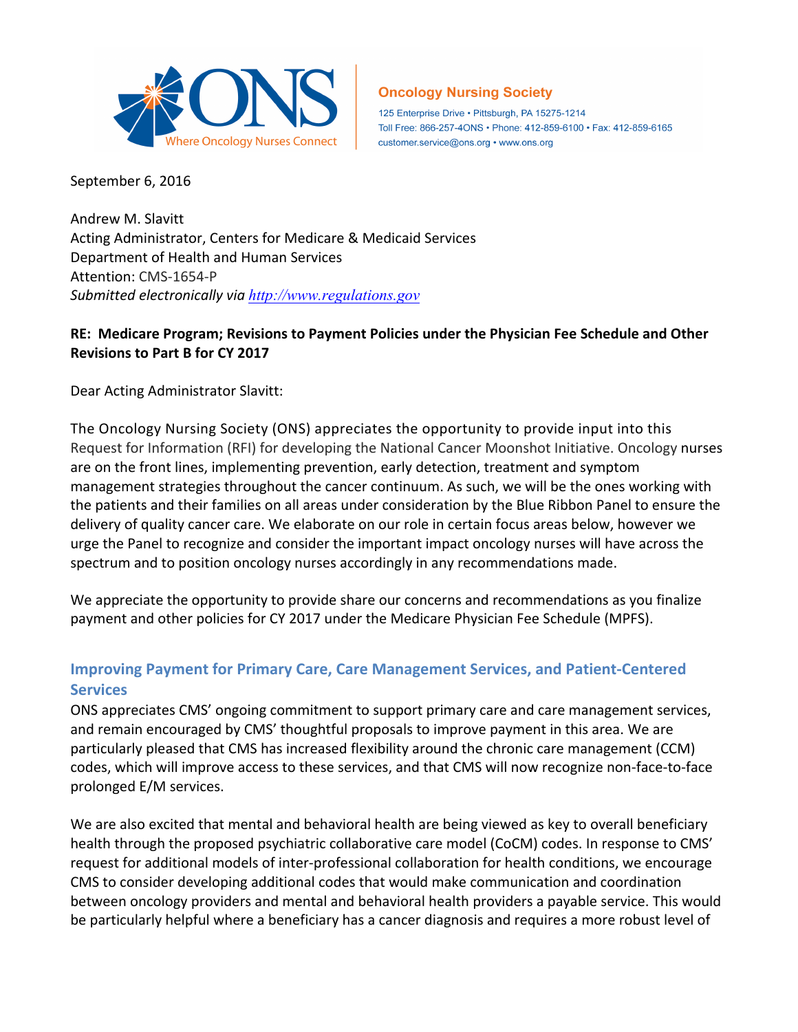

**Oncology Nursing Society** 

125 Enterprise Drive · Pittsburgh, PA 15275-1214 Toll Free: 866-257-4ONS · Phone: 412-859-6100 · Fax: 412-859-6165 customer.service@ons.org • www.ons.org

September 6, 2016

Andrew M. Slavitt Acting Administrator, Centers for Medicare & Medicaid Services Department of Health and Human Services Attention: CMS-1654-P *Submitted electronically via http://www.regulations.gov*

## RE: Medicare Program; Revisions to Payment Policies under the Physician Fee Schedule and Other **Revisions to Part B for CY 2017**

Dear Acting Administrator Slavitt:

The Oncology Nursing Society (ONS) appreciates the opportunity to provide input into this Request for Information (RFI) for developing the National Cancer Moonshot Initiative. Oncology nurses are on the front lines, implementing prevention, early detection, treatment and symptom management strategies throughout the cancer continuum. As such, we will be the ones working with the patients and their families on all areas under consideration by the Blue Ribbon Panel to ensure the delivery of quality cancer care. We elaborate on our role in certain focus areas below, however we urge the Panel to recognize and consider the important impact oncology nurses will have across the spectrum and to position oncology nurses accordingly in any recommendations made.

We appreciate the opportunity to provide share our concerns and recommendations as you finalize payment and other policies for CY 2017 under the Medicare Physician Fee Schedule (MPFS).

## **Improving Payment for Primary Care, Care Management Services, and Patient-Centered Services**

ONS appreciates CMS' ongoing commitment to support primary care and care management services, and remain encouraged by CMS' thoughtful proposals to improve payment in this area. We are particularly pleased that CMS has increased flexibility around the chronic care management (CCM) codes, which will improve access to these services, and that CMS will now recognize non-face-to-face prolonged E/M services. 

We are also excited that mental and behavioral health are being viewed as key to overall beneficiary health through the proposed psychiatric collaborative care model (CoCM) codes. In response to CMS' request for additional models of inter-professional collaboration for health conditions, we encourage CMS to consider developing additional codes that would make communication and coordination between oncology providers and mental and behavioral health providers a payable service. This would be particularly helpful where a beneficiary has a cancer diagnosis and requires a more robust level of